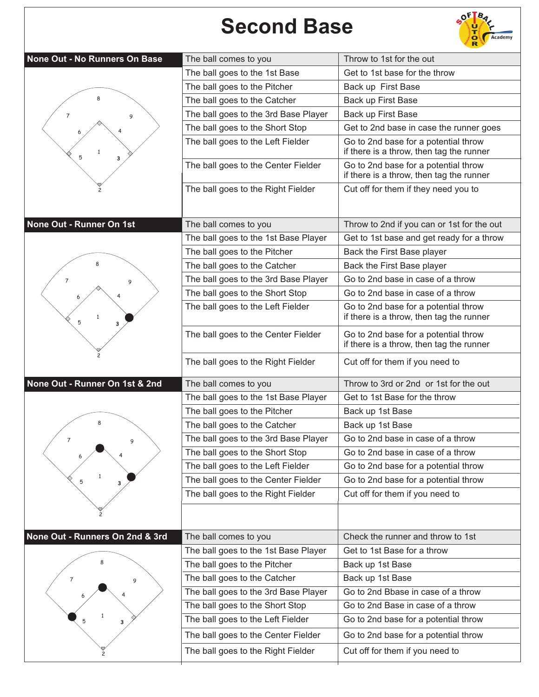## **Second Base**



| None Out - No Runners On Base   | The ball comes to you                | Throw to 1st for the out                                                         |
|---------------------------------|--------------------------------------|----------------------------------------------------------------------------------|
|                                 | The ball goes to the 1st Base        | Get to 1st base for the throw                                                    |
|                                 | The ball goes to the Pitcher         | Back up First Base                                                               |
|                                 | The ball goes to the Catcher         | Back up First Base                                                               |
| 7<br>9                          | The ball goes to the 3rd Base Player | Back up First Base                                                               |
|                                 | The ball goes to the Short Stop      | Get to 2nd base in case the runner goes                                          |
| 5                               | The ball goes to the Left Fielder    | Go to 2nd base for a potential throw<br>if there is a throw, then tag the runner |
| 3                               | The ball goes to the Center Fielder  | Go to 2nd base for a potential throw<br>if there is a throw, then tag the runner |
|                                 | The ball goes to the Right Fielder   | Cut off for them if they need you to                                             |
| None Out - Runner On 1st        | The ball comes to you                | Throw to 2nd if you can or 1st for the out                                       |
|                                 | The ball goes to the 1st Base Player | Get to 1st base and get ready for a throw                                        |
|                                 | The ball goes to the Pitcher         | Back the First Base player                                                       |
|                                 | The ball goes to the Catcher         | Back the First Base player                                                       |
| 7<br>9                          | The ball goes to the 3rd Base Player | Go to 2nd base in case of a throw                                                |
|                                 | The ball goes to the Short Stop      | Go to 2nd base in case of a throw                                                |
| $\mathbf{1}$<br>5<br>3          | The ball goes to the Left Fielder    | Go to 2nd base for a potential throw<br>if there is a throw, then tag the runner |
|                                 | The ball goes to the Center Fielder  | Go to 2nd base for a potential throw<br>if there is a throw, then tag the runner |
| 2                               | The ball goes to the Right Fielder   | Cut off for them if you need to                                                  |
| None Out - Runner On 1st & 2nd  | The ball comes to you                | Throw to 3rd or 2nd or 1st for the out                                           |
|                                 | The ball goes to the 1st Base Player | Get to 1st Base for the throw                                                    |
|                                 | The ball goes to the Pitcher         | Back up 1st Base                                                                 |
| 8                               | The ball goes to the Catcher         | Back up 1st Base                                                                 |
| 7                               | The ball goes to the 3rd Base Player | Go to 2nd base in case of a throw                                                |
| 6                               | The ball goes to the Short Stop      | Go to 2nd base in case of a throw                                                |
|                                 | The ball goes to the Left Fielder    | Go to 2nd base for a potential throw                                             |
| $\mathbf{1}$<br>5<br>3          | The ball goes to the Center Fielder  | Go to 2nd base for a potential throw                                             |
|                                 | The ball goes to the Right Fielder   | Cut off for them if you need to                                                  |
|                                 |                                      |                                                                                  |
| None Out - Runners On 2nd & 3rd | The ball comes to you                | Check the runner and throw to 1st                                                |
|                                 | The ball goes to the 1st Base Player | Get to 1st Base for a throw                                                      |
| 8                               | The ball goes to the Pitcher         | Back up 1st Base                                                                 |
| 7<br>9                          | The ball goes to the Catcher         | Back up 1st Base                                                                 |
|                                 | The ball goes to the 3rd Base Player | Go to 2nd Bbase in case of a throw                                               |
|                                 | The ball goes to the Short Stop      | Go to 2nd Base in case of a throw                                                |
| з                               | The ball goes to the Left Fielder    | Go to 2nd base for a potential throw                                             |
|                                 | The ball goes to the Center Fielder  | Go to 2nd base for a potential throw                                             |
|                                 | The ball goes to the Right Fielder   | Cut off for them if you need to                                                  |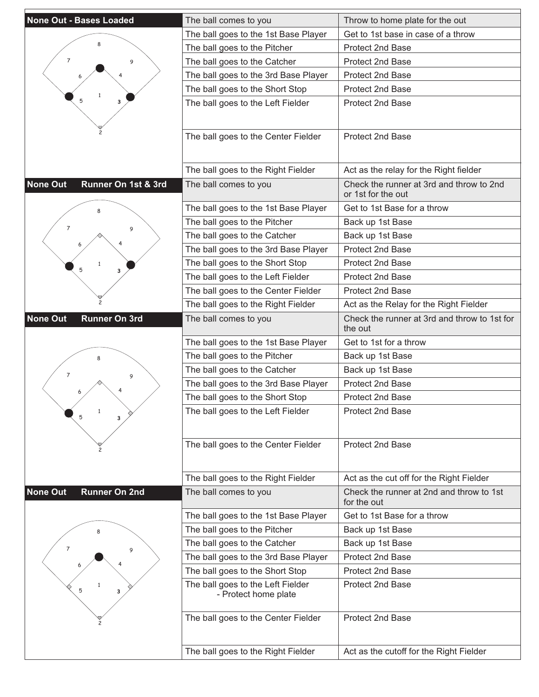| <b>None Out - Bases Loaded</b>          | The ball comes to you                | Throw to home plate for the out                                |
|-----------------------------------------|--------------------------------------|----------------------------------------------------------------|
|                                         | The ball goes to the 1st Base Player | Get to 1st base in case of a throw                             |
|                                         | The ball goes to the Pitcher         | Protect 2nd Base                                               |
| $\overline{7}$<br>9                     | The ball goes to the Catcher         | <b>Protect 2nd Base</b>                                        |
|                                         | The ball goes to the 3rd Base Player | Protect 2nd Base                                               |
|                                         | The ball goes to the Short Stop      | Protect 2nd Base                                               |
| 3                                       | The ball goes to the Left Fielder    | Protect 2nd Base                                               |
|                                         |                                      |                                                                |
|                                         |                                      |                                                                |
|                                         | The ball goes to the Center Fielder  | Protect 2nd Base                                               |
|                                         |                                      |                                                                |
|                                         | The ball goes to the Right Fielder   | Act as the relay for the Right fielder                         |
| <b>None Out</b><br>Runner On 1st & 3rd  | The ball comes to you                | Check the runner at 3rd and throw to 2nd<br>or 1st for the out |
| 8                                       | The ball goes to the 1st Base Player | Get to 1st Base for a throw                                    |
| $\overline{7}$<br>9                     | The ball goes to the Pitcher         | Back up 1st Base                                               |
|                                         | The ball goes to the Catcher         | Back up 1st Base                                               |
|                                         | The ball goes to the 3rd Base Player | Protect 2nd Base                                               |
| $\mathbf{1}$<br>5<br>з                  | The ball goes to the Short Stop      | <b>Protect 2nd Base</b>                                        |
|                                         | The ball goes to the Left Fielder    | <b>Protect 2nd Base</b>                                        |
|                                         | The ball goes to the Center Fielder  | Protect 2nd Base                                               |
|                                         | The ball goes to the Right Fielder   | Act as the Relay for the Right Fielder                         |
| <b>None Out</b><br><b>Runner On 3rd</b> | The ball comes to you                | Check the runner at 3rd and throw to 1st for<br>the out        |
|                                         | The ball goes to the 1st Base Player | Get to 1st for a throw                                         |
|                                         | The ball goes to the Pitcher         | Back up 1st Base                                               |
| $\overline{7}$<br>9                     | The ball goes to the Catcher         | Back up 1st Base                                               |
|                                         | The ball goes to the 3rd Base Player | <b>Protect 2nd Base</b>                                        |
|                                         | The ball goes to the Short Stop      | <b>Protect 2nd Base</b>                                        |
| $\mathbf{1}$<br>5<br>3                  | The ball goes to the Left Fielder    | Protect 2nd Base                                               |
|                                         |                                      |                                                                |
|                                         |                                      |                                                                |
|                                         | The ball goes to the Center Fielder  | Protect 2nd Base                                               |
|                                         |                                      |                                                                |
|                                         |                                      |                                                                |
|                                         | The ball goes to the Right Fielder   | Act as the cut off for the Right Fielder                       |
| <b>None Out</b><br><b>Runner On 2nd</b> | The ball comes to you                | Check the runner at 2nd and throw to 1st<br>for the out        |
|                                         | The ball goes to the 1st Base Player | Get to 1st Base for a throw                                    |
|                                         | The ball goes to the Pitcher         | Back up 1st Base                                               |
|                                         | The ball goes to the Catcher         | Back up 1st Base                                               |
| $\overline{7}$<br>9                     | The ball goes to the 3rd Base Player | Protect 2nd Base                                               |
|                                         | The ball goes to the Short Stop      | Protect 2nd Base                                               |
| 5                                       | The ball goes to the Left Fielder    | Protect 2nd Base                                               |
| 3                                       | - Protect home plate                 |                                                                |
|                                         |                                      | Protect 2nd Base                                               |
|                                         | The ball goes to the Center Fielder  |                                                                |
|                                         | The ball goes to the Right Fielder   | Act as the cutoff for the Right Fielder                        |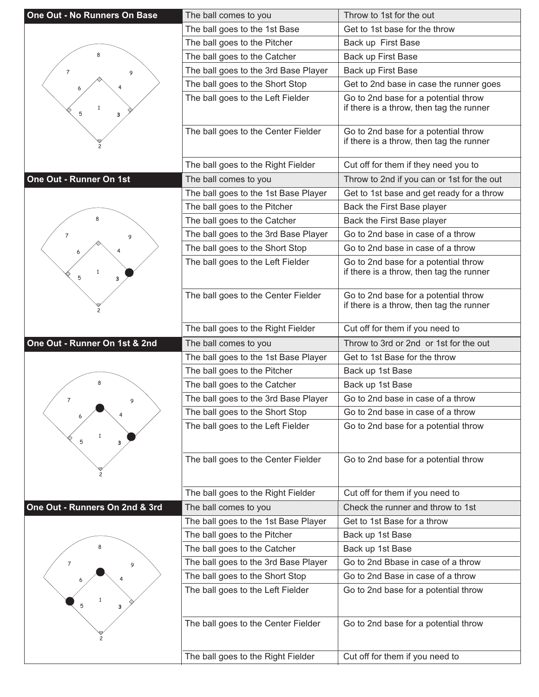| One Out - No Runners On Base   | The ball comes to you                | Throw to 1st for the out                                                         |
|--------------------------------|--------------------------------------|----------------------------------------------------------------------------------|
|                                | The ball goes to the 1st Base        | Get to 1st base for the throw                                                    |
|                                | The ball goes to the Pitcher         | Back up First Base                                                               |
| 8                              | The ball goes to the Catcher         | Back up First Base                                                               |
| $\overline{7}$<br>9            | The ball goes to the 3rd Base Player | Back up First Base                                                               |
|                                | The ball goes to the Short Stop      | Get to 2nd base in case the runner goes                                          |
| $\mathbf{1}$<br>5<br>з         | The ball goes to the Left Fielder    | Go to 2nd base for a potential throw<br>if there is a throw, then tag the runner |
|                                | The ball goes to the Center Fielder  | Go to 2nd base for a potential throw<br>if there is a throw, then tag the runner |
|                                | The ball goes to the Right Fielder   | Cut off for them if they need you to                                             |
| One Out - Runner On 1st        | The ball comes to you                | Throw to 2nd if you can or 1st for the out                                       |
|                                | The ball goes to the 1st Base Player | Get to 1st base and get ready for a throw                                        |
|                                | The ball goes to the Pitcher         | Back the First Base player                                                       |
|                                | The ball goes to the Catcher         | Back the First Base player                                                       |
| 7<br>9                         | The ball goes to the 3rd Base Player | Go to 2nd base in case of a throw                                                |
|                                | The ball goes to the Short Stop      | Go to 2nd base in case of a throw                                                |
| $\mathbf{1}$<br>5<br>3         | The ball goes to the Left Fielder    | Go to 2nd base for a potential throw<br>if there is a throw, then tag the runner |
|                                | The ball goes to the Center Fielder  | Go to 2nd base for a potential throw<br>if there is a throw, then tag the runner |
|                                | The ball goes to the Right Fielder   | Cut off for them if you need to                                                  |
|                                |                                      |                                                                                  |
| One Out - Runner On 1st & 2nd  | The ball comes to you                | Throw to 3rd or 2nd or 1st for the out                                           |
|                                | The ball goes to the 1st Base Player | Get to 1st Base for the throw                                                    |
|                                | The ball goes to the Pitcher         | Back up 1st Base                                                                 |
| 8                              | The ball goes to the Catcher         | Back up 1st Base                                                                 |
| $\overline{7}$<br>9            | The ball goes to the 3rd Base Player | Go to 2nd base in case of a throw                                                |
|                                | The ball goes to the Short Stop      | Go to 2nd base in case of a throw                                                |
| 5<br>3                         | The ball goes to the Left Fielder    | Go to 2nd base for a potential throw                                             |
|                                | The ball goes to the Center Fielder  | Go to 2nd base for a potential throw                                             |
|                                | The ball goes to the Right Fielder   | Cut off for them if you need to                                                  |
| One Out - Runners On 2nd & 3rd | The ball comes to you                | Check the runner and throw to 1st                                                |
|                                | The ball goes to the 1st Base Player | Get to 1st Base for a throw                                                      |
|                                | The ball goes to the Pitcher         | Back up 1st Base                                                                 |
|                                | The ball goes to the Catcher         | Back up 1st Base                                                                 |
| 7                              | The ball goes to the 3rd Base Player | Go to 2nd Bbase in case of a throw                                               |
| 9                              | The ball goes to the Short Stop      | Go to 2nd Base in case of a throw                                                |
| 5<br>з                         | The ball goes to the Left Fielder    | Go to 2nd base for a potential throw                                             |
|                                | The ball goes to the Center Fielder  | Go to 2nd base for a potential throw                                             |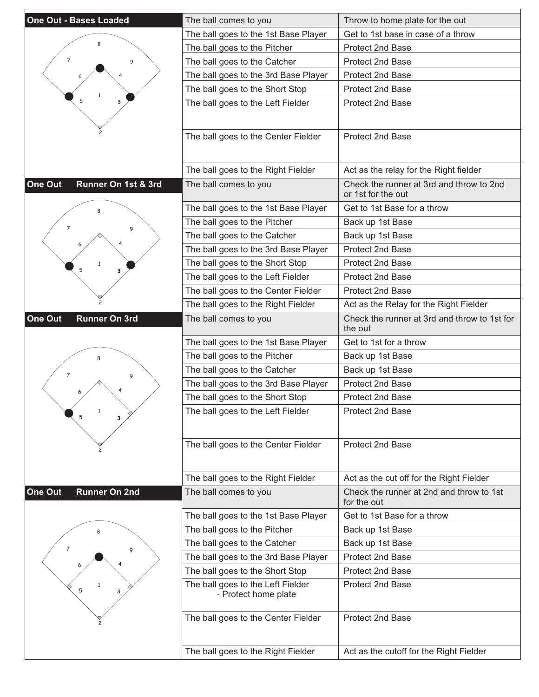| <b>One Out - Bases Loaded</b>   | The ball comes to you                | Throw to home plate for the out                                |
|---------------------------------|--------------------------------------|----------------------------------------------------------------|
|                                 | The ball goes to the 1st Base Player | Get to 1st base in case of a throw                             |
|                                 | The ball goes to the Pitcher         | Protect 2nd Base                                               |
| 7<br>9                          | The ball goes to the Catcher         | <b>Protect 2nd Base</b>                                        |
|                                 | The ball goes to the 3rd Base Player | Protect 2nd Base                                               |
|                                 | The ball goes to the Short Stop      | Protect 2nd Base                                               |
| 3                               | The ball goes to the Left Fielder    | Protect 2nd Base                                               |
|                                 |                                      |                                                                |
|                                 |                                      |                                                                |
|                                 | The ball goes to the Center Fielder  | Protect 2nd Base                                               |
|                                 |                                      |                                                                |
|                                 | The ball goes to the Right Fielder   | Act as the relay for the Right fielder                         |
| One Out<br>Runner On 1st & 3rd  | The ball comes to you                | Check the runner at 3rd and throw to 2nd<br>or 1st for the out |
|                                 | The ball goes to the 1st Base Player | Get to 1st Base for a throw                                    |
| $\overline{7}$<br>9             | The ball goes to the Pitcher         | Back up 1st Base                                               |
|                                 | The ball goes to the Catcher         | Back up 1st Base                                               |
|                                 | The ball goes to the 3rd Base Player | Protect 2nd Base                                               |
| 5<br>з                          | The ball goes to the Short Stop      | Protect 2nd Base                                               |
|                                 | The ball goes to the Left Fielder    | <b>Protect 2nd Base</b>                                        |
|                                 | The ball goes to the Center Fielder  | Protect 2nd Base                                               |
|                                 | The ball goes to the Right Fielder   | Act as the Relay for the Right Fielder                         |
| One Out<br><b>Runner On 3rd</b> | The ball comes to you                | Check the runner at 3rd and throw to 1st for<br>the out        |
|                                 | The ball goes to the 1st Base Player | Get to 1st for a throw                                         |
|                                 | The ball goes to the Pitcher         | Back up 1st Base                                               |
| $\overline{7}$<br>9             | The ball goes to the Catcher         | Back up 1st Base                                               |
|                                 | The ball goes to the 3rd Base Player | Protect 2nd Base                                               |
|                                 | The ball goes to the Short Stop      | Protect 2nd Base                                               |
| $\mathbf{1}$<br>5               | The ball goes to the Left Fielder    | Protect 2nd Base                                               |
|                                 |                                      |                                                                |
|                                 | The ball goes to the Center Fielder  | Protect 2nd Base                                               |
|                                 |                                      |                                                                |
|                                 | The ball goes to the Right Fielder   | Act as the cut off for the Right Fielder                       |
| One Out<br><b>Runner On 2nd</b> | The ball comes to you                | Check the runner at 2nd and throw to 1st                       |
|                                 |                                      | for the out                                                    |
|                                 | The ball goes to the 1st Base Player | Get to 1st Base for a throw                                    |
|                                 | The ball goes to the Pitcher         | Back up 1st Base                                               |
| $\overline{7}$<br>9             | The ball goes to the Catcher         | Back up 1st Base                                               |
|                                 | The ball goes to the 3rd Base Player | Protect 2nd Base                                               |
|                                 | The ball goes to the Short Stop      | Protect 2nd Base                                               |
| 1<br>5<br>3                     | The ball goes to the Left Fielder    | Protect 2nd Base                                               |
|                                 | - Protect home plate                 |                                                                |
|                                 | The ball goes to the Center Fielder  | Protect 2nd Base                                               |
|                                 |                                      |                                                                |
|                                 |                                      |                                                                |
|                                 | The ball goes to the Right Fielder   | Act as the cutoff for the Right Fielder                        |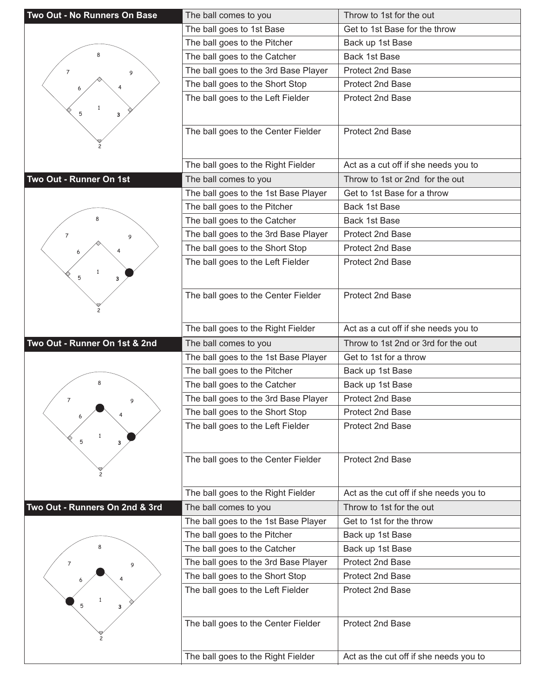| Two Out - No Runners On Base   | The ball comes to you                | Throw to 1st for the out               |
|--------------------------------|--------------------------------------|----------------------------------------|
|                                | The ball goes to 1st Base            | Get to 1st Base for the throw          |
|                                | The ball goes to the Pitcher         | Back up 1st Base                       |
| 8                              | The ball goes to the Catcher         | Back 1st Base                          |
| 7<br>9                         | The ball goes to the 3rd Base Player | <b>Protect 2nd Base</b>                |
|                                | The ball goes to the Short Stop      | Protect 2nd Base                       |
|                                | The ball goes to the Left Fielder    | Protect 2nd Base                       |
| $\mathbf{1}$                   |                                      |                                        |
| 5<br>з                         |                                      |                                        |
|                                | The ball goes to the Center Fielder  | Protect 2nd Base                       |
|                                |                                      |                                        |
|                                | The ball goes to the Right Fielder   | Act as a cut off if she needs you to   |
| Two Out - Runner On 1st        | The ball comes to you                | Throw to 1st or 2nd for the out        |
|                                | The ball goes to the 1st Base Player | Get to 1st Base for a throw            |
|                                | The ball goes to the Pitcher         | Back 1st Base                          |
|                                | The ball goes to the Catcher         | Back 1st Base                          |
|                                | The ball goes to the 3rd Base Player | Protect 2nd Base                       |
| 7<br>9                         | The ball goes to the Short Stop      | <b>Protect 2nd Base</b>                |
|                                |                                      | Protect 2nd Base                       |
|                                | The ball goes to the Left Fielder    |                                        |
| 5<br>3                         |                                      |                                        |
|                                | The ball goes to the Center Fielder  | Protect 2nd Base                       |
|                                |                                      |                                        |
|                                | The ball goes to the Right Fielder   | Act as a cut off if she needs you to   |
| Two Out - Runner On 1st & 2nd  | The ball comes to you                | Throw to 1st 2nd or 3rd for the out    |
|                                |                                      |                                        |
|                                |                                      |                                        |
|                                | The ball goes to the 1st Base Player | Get to 1st for a throw                 |
| 8                              | The ball goes to the Pitcher         | Back up 1st Base                       |
|                                | The ball goes to the Catcher         | Back up 1st Base                       |
| $\overline{7}$<br>9            | The ball goes to the 3rd Base Player | <b>Protect 2nd Base</b>                |
|                                | The ball goes to the Short Stop      | Protect 2nd Base                       |
|                                | The ball goes to the Left Fielder    | Protect 2nd Base                       |
| 5<br>3                         |                                      |                                        |
|                                | The ball goes to the Center Fielder  | Protect 2nd Base                       |
|                                |                                      |                                        |
|                                |                                      |                                        |
|                                | The ball goes to the Right Fielder   | Act as the cut off if she needs you to |
| Two Out - Runners On 2nd & 3rd | The ball comes to you                | Throw to 1st for the out               |
|                                | The ball goes to the 1st Base Player | Get to 1st for the throw               |
|                                | The ball goes to the Pitcher         | Back up 1st Base                       |
|                                | The ball goes to the Catcher         | Back up 1st Base                       |
| 7<br>9                         | The ball goes to the 3rd Base Player | Protect 2nd Base                       |
|                                | The ball goes to the Short Stop      | Protect 2nd Base                       |
|                                | The ball goes to the Left Fielder    | Protect 2nd Base                       |
| 5<br>3                         |                                      |                                        |
|                                | The ball goes to the Center Fielder  | Protect 2nd Base                       |
|                                |                                      |                                        |